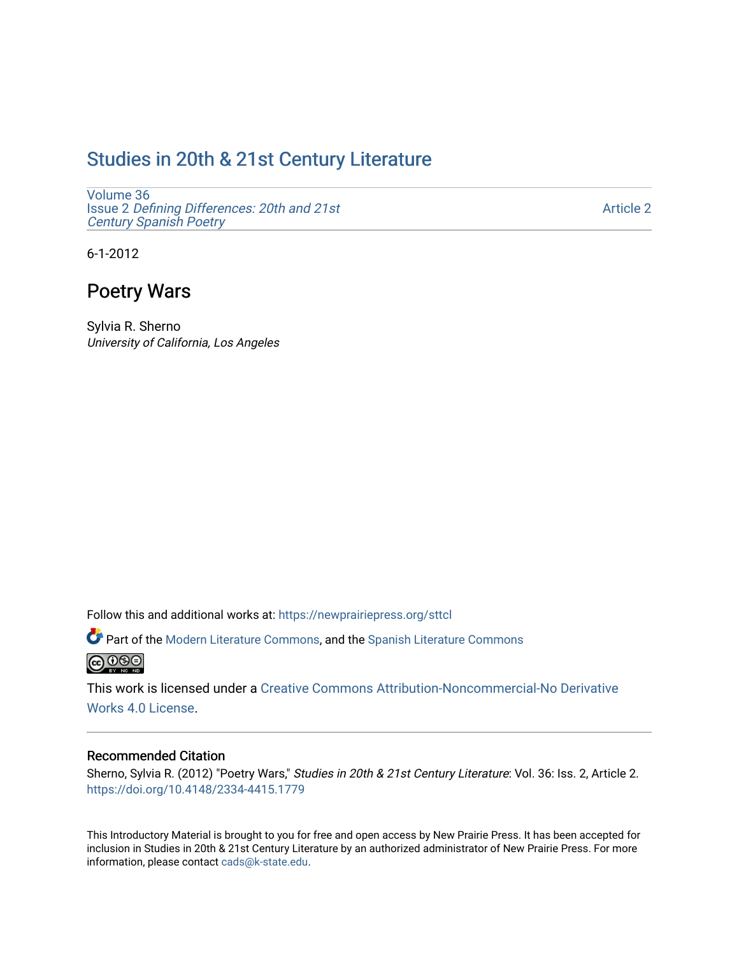# [Studies in 20th & 21st Century Literature](https://newprairiepress.org/sttcl)

[Volume 36](https://newprairiepress.org/sttcl/vol36) Issue 2 [Defining Differences: 20th and 21st](https://newprairiepress.org/sttcl/vol36/iss2) [Century Spanish Poetry](https://newprairiepress.org/sttcl/vol36/iss2) 

[Article 2](https://newprairiepress.org/sttcl/vol36/iss2/2) 

6-1-2012

# Poetry Wars

Sylvia R. Sherno University of California, Los Angeles

Follow this and additional works at: [https://newprairiepress.org/sttcl](https://newprairiepress.org/sttcl?utm_source=newprairiepress.org%2Fsttcl%2Fvol36%2Fiss2%2F2&utm_medium=PDF&utm_campaign=PDFCoverPages) 

Part of the [Modern Literature Commons,](http://network.bepress.com/hgg/discipline/1050?utm_source=newprairiepress.org%2Fsttcl%2Fvol36%2Fiss2%2F2&utm_medium=PDF&utm_campaign=PDFCoverPages) and the Spanish Literature Commons **@** 000

This work is licensed under a [Creative Commons Attribution-Noncommercial-No Derivative](https://creativecommons.org/licenses/by-nc-nd/4.0/)  [Works 4.0 License](https://creativecommons.org/licenses/by-nc-nd/4.0/).

### Recommended Citation

Sherno, Sylvia R. (2012) "Poetry Wars," Studies in 20th & 21st Century Literature: Vol. 36: Iss. 2, Article 2. <https://doi.org/10.4148/2334-4415.1779>

This Introductory Material is brought to you for free and open access by New Prairie Press. It has been accepted for inclusion in Studies in 20th & 21st Century Literature by an authorized administrator of New Prairie Press. For more information, please contact [cads@k-state.edu](mailto:cads@k-state.edu).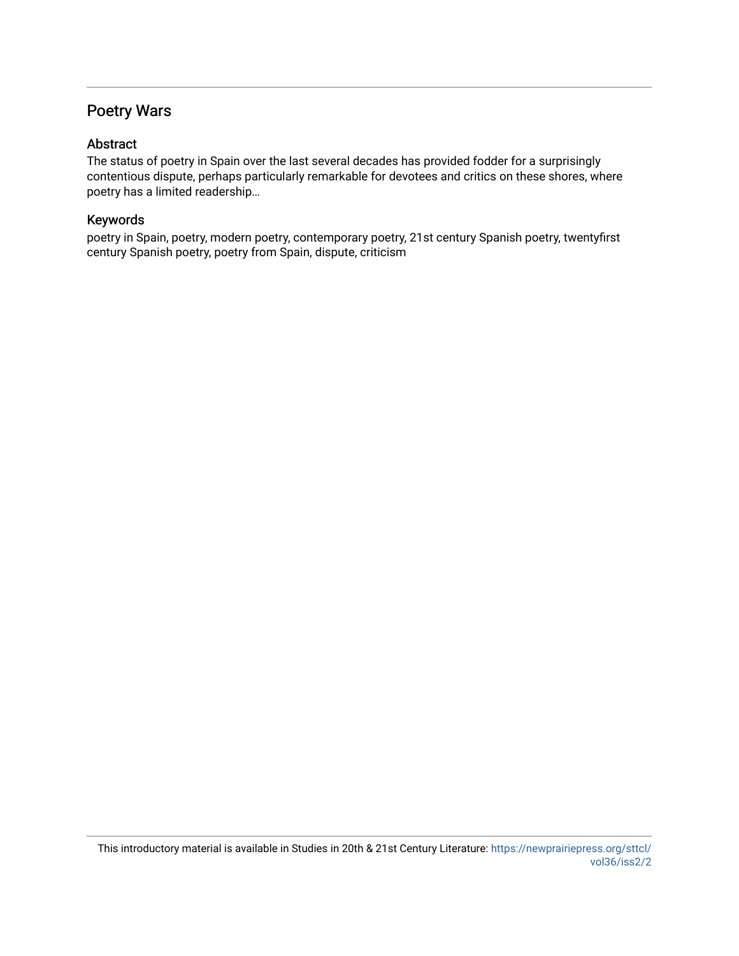## Poetry Wars

## Abstract

The status of poetry in Spain over the last several decades has provided fodder for a surprisingly contentious dispute, perhaps particularly remarkable for devotees and critics on these shores, where poetry has a limited readership…

## Keywords

poetry in Spain, poetry, modern poetry, contemporary poetry, 21st century Spanish poetry, twentyfirst century Spanish poetry, poetry from Spain, dispute, criticism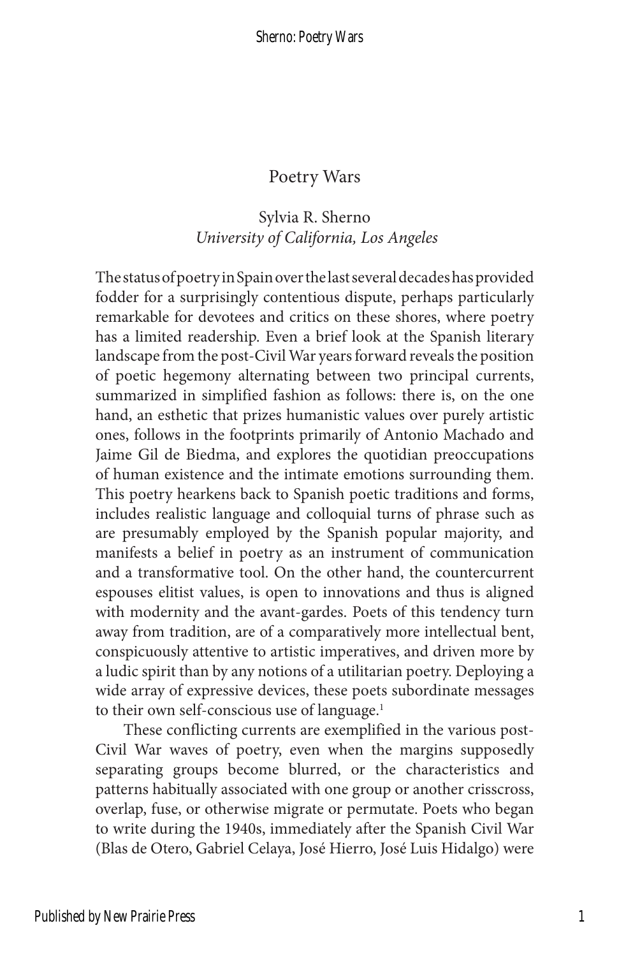## Poetry Wars

## Sylvia R. Sherno  *University of California, Los Angeles*

The status of poetry in Spain over the last several decades has provided fodder for a surprisingly contentious dispute, perhaps particularly remarkable for devotees and critics on these shores, where poetry has a limited readership. Even a brief look at the Spanish literary landscape from the post-Civil War years forward reveals the position of poetic hegemony alternating between two principal currents, summarized in simplified fashion as follows: there is, on the one hand, an esthetic that prizes humanistic values over purely artistic ones, follows in the footprints primarily of Antonio Machado and Jaime Gil de Biedma, and explores the quotidian preoccupations of human existence and the intimate emotions surrounding them. This poetry hearkens back to Spanish poetic traditions and forms, includes realistic language and colloquial turns of phrase such as are presumably employed by the Spanish popular majority, and manifests a belief in poetry as an instrument of communication and a transformative tool. On the other hand, the countercurrent espouses elitist values, is open to innovations and thus is aligned with modernity and the avant-gardes. Poets of this tendency turn away from tradition, are of a comparatively more intellectual bent, conspicuously attentive to artistic imperatives, and driven more by a ludic spirit than by any notions of a utilitarian poetry. Deploying a wide array of expressive devices, these poets subordinate messages to their own self-conscious use of language.<sup>1</sup>

These conflicting currents are exemplified in the various post-Civil War waves of poetry, even when the margins supposedly separating groups become blurred, or the characteristics and patterns habitually associated with one group or another crisscross, overlap, fuse, or otherwise migrate or permutate. Poets who began to write during the 1940s, immediately after the Spanish Civil War (Blas de Otero, Gabriel Celaya, José Hierro, José Luis Hidalgo) were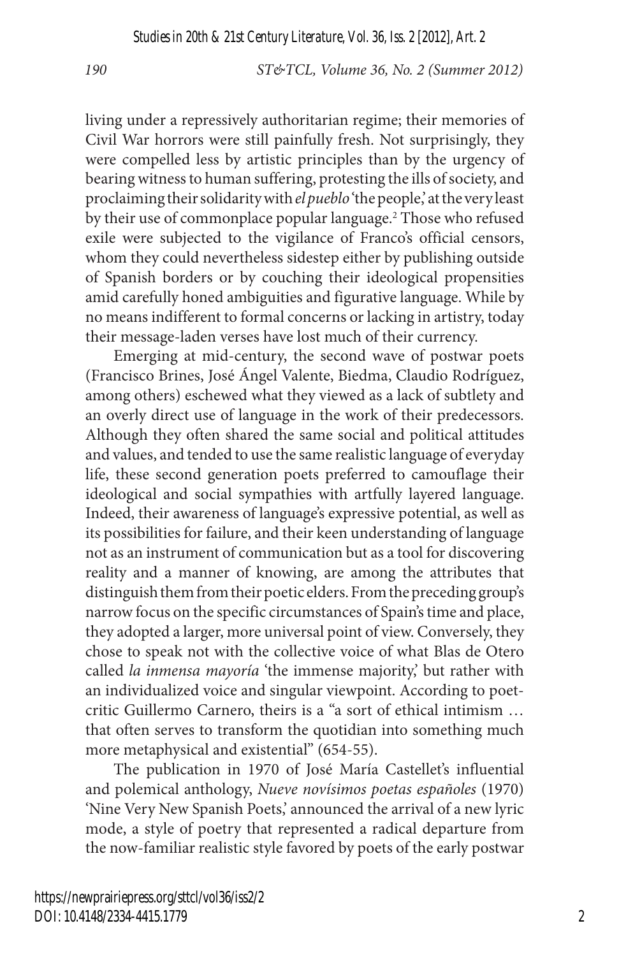living under a repressively authoritarian regime; their memories of Civil War horrors were still painfully fresh. Not surprisingly, they were compelled less by artistic principles than by the urgency of bearing witness to human suffering, protesting the ills of society, and proclaiming their solidarity with *el pueblo* 'the people,' at the very least by their use of commonplace popular language.<sup>2</sup> Those who refused exile were subjected to the vigilance of Franco's official censors, whom they could nevertheless sidestep either by publishing outside of Spanish borders or by couching their ideological propensities amid carefully honed ambiguities and figurative language. While by no means indifferent to formal concerns or lacking in artistry, today their message-laden verses have lost much of their currency.

Emerging at mid-century, the second wave of postwar poets (Francisco Brines, José Ángel Valente, Biedma, Claudio Rodríguez, among others) eschewed what they viewed as a lack of subtlety and an overly direct use of language in the work of their predecessors. Although they often shared the same social and political attitudes and values, and tended to use the same realistic language of everyday life, these second generation poets preferred to camouflage their ideological and social sympathies with artfully layered language. Indeed, their awareness of language's expressive potential, as well as its possibilities for failure, and their keen understanding of language not as an instrument of communication but as a tool for discovering reality and a manner of knowing, are among the attributes that distinguish them from their poetic elders. From the preceding group's narrow focus on the specific circumstances of Spain's time and place, they adopted a larger, more universal point of view. Conversely, they chose to speak not with the collective voice of what Blas de Otero called *la inmensa mayoría* 'the immense majority', but rather with an individualized voice and singular viewpoint. According to poetcritic Guillermo Carnero, theirs is a "a sort of ethical intimism … that often serves to transform the quotidian into something much more metaphysical and existential" (654-55).

The publication in 1970 of José María Castellet's influential and polemical anthology, *Nueve novísimos poetas españoles* (1970) 'Nine Very New Spanish Poets,' announced the arrival of a new lyric mode, a style of poetry that represented a radical departure from the now-familiar realistic style favored by poets of the early postwar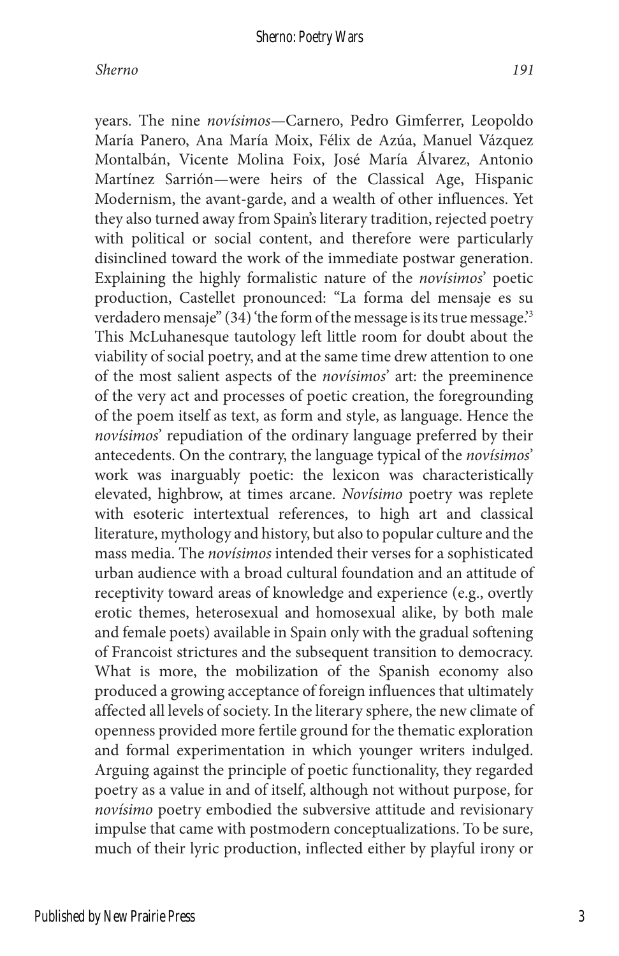years. The nine *novísimos*—Carnero, Pedro Gimferrer, Leopoldo María Panero, Ana María Moix, Félix de Azúa, Manuel Vázquez Montalbán, Vicente Molina Foix, José María Álvarez, Antonio Martínez Sarrión—were heirs of the Classical Age, Hispanic Modernism, the avant-garde, and a wealth of other influences. Yet they also turned away from Spain's literary tradition, rejected poetry with political or social content, and therefore were particularly disinclined toward the work of the immediate postwar generation. Explaining the highly formalistic nature of the *novísimos*' poetic production, Castellet pronounced: "La forma del mensaje es su verdadero mensaje" (34) 'the form of the message is its true message.'3 This McLuhanesque tautology left little room for doubt about the viability of social poetry, and at the same time drew attention to one of the most salient aspects of the *novísimos*' art: the preeminence of the very act and processes of poetic creation, the foregrounding of the poem itself as text, as form and style, as language. Hence the *novísimos*' repudiation of the ordinary language preferred by their antecedents. On the contrary, the language typical of the *novísimos*' work was inarguably poetic: the lexicon was characteristically elevated, highbrow, at times arcane. *Novísimo* poetry was replete with esoteric intertextual references, to high art and classical literature, mythology and history, but also to popular culture and the mass media. The *novísimos* intended their verses for a sophisticated urban audience with a broad cultural foundation and an attitude of receptivity toward areas of knowledge and experience (e.g., overtly erotic themes, heterosexual and homosexual alike, by both male and female poets) available in Spain only with the gradual softening of Francoist strictures and the subsequent transition to democracy. What is more, the mobilization of the Spanish economy also produced a growing acceptance of foreign influences that ultimately affected all levels of society. In the literary sphere, the new climate of openness provided more fertile ground for the thematic exploration and formal experimentation in which younger writers indulged. Arguing against the principle of poetic functionality, they regarded poetry as a value in and of itself, although not without purpose, for *novísimo* poetry embodied the subversive attitude and revisionary impulse that came with postmodern conceptualizations. To be sure, much of their lyric production, inflected either by playful irony or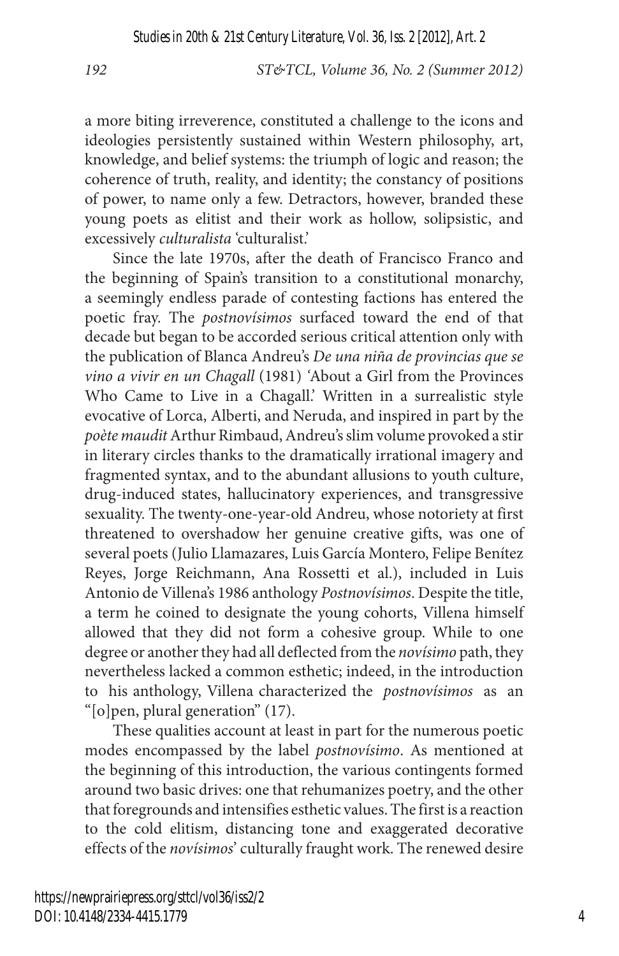a more biting irreverence, constituted a challenge to the icons and ideologies persistently sustained within Western philosophy, art, knowledge, and belief systems: the triumph of logic and reason; the coherence of truth, reality, and identity; the constancy of positions of power, to name only a few. Detractors, however, branded these young poets as elitist and their work as hollow, solipsistic, and excessively *culturalista* 'culturalist.'

Since the late 1970s, after the death of Francisco Franco and the beginning of Spain's transition to a constitutional monarchy, a seemingly endless parade of contesting factions has entered the poetic fray. The *postnovísimos* surfaced toward the end of that decade but began to be accorded serious critical attention only with the publication of Blanca Andreu's *De una niña de provincias que se vino a vivir en un Chagall* (1981) *'*About a Girl from the Provinces Who Came to Live in a Chagall.' Written in a surrealistic style evocative of Lorca, Alberti, and Neruda, and inspired in part by the *poète maudit* Arthur Rimbaud, Andreu's slim volume provoked a stir in literary circles thanks to the dramatically irrational imagery and fragmented syntax, and to the abundant allusions to youth culture, drug-induced states, hallucinatory experiences, and transgressive sexuality. The twenty-one-year-old Andreu, whose notoriety at first threatened to overshadow her genuine creative gifts, was one of several poets (Julio Llamazares, Luis García Montero, Felipe Benítez Reyes, Jorge Reichmann, Ana Rossetti et al.), included in Luis Antonio de Villena's 1986 anthology *Postnovísimos*. Despite the title, a term he coined to designate the young cohorts, Villena himself allowed that they did not form a cohesive group. While to one degree or another they had all deflected from the *novísimo* path, they nevertheless lacked a common esthetic; indeed, in the introduction to his anthology, Villena characterized the *postnovísimos* as an "[o]pen, plural generation" (17).

These qualities account at least in part for the numerous poetic modes encompassed by the label *postnovísimo*. As mentioned at the beginning of this introduction, the various contingents formed around two basic drives: one that rehumanizes poetry, and the other that foregrounds and intensifies esthetic values. The first is a reaction to the cold elitism, distancing tone and exaggerated decorative effects of the *novísimos*' culturally fraught work. The renewed desire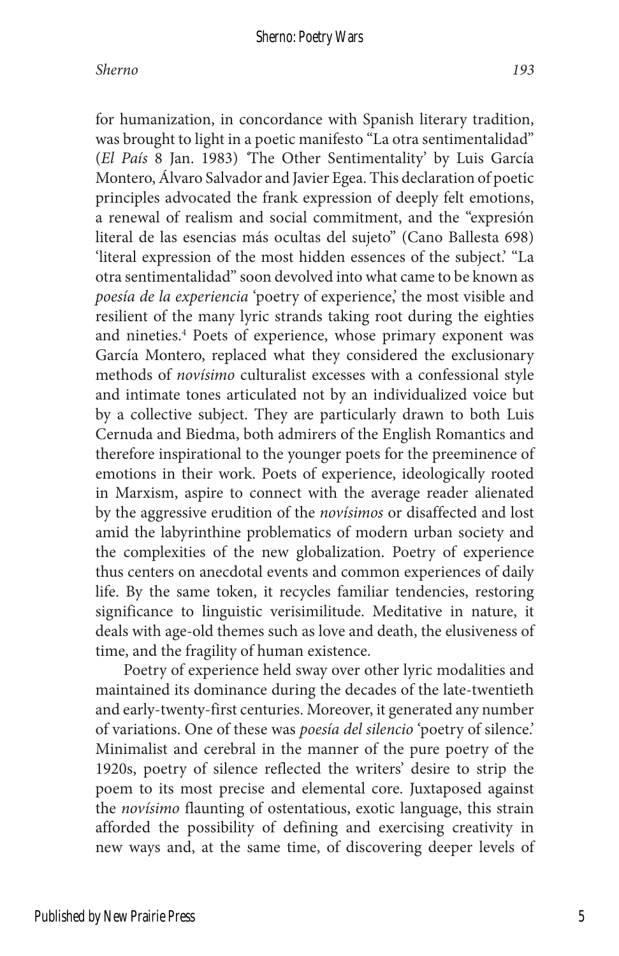#### *Sherno 193*

for humanization, in concordance with Spanish literary tradition, was brought to light in a poetic manifesto "La otra sentimentalidad" (*El País* 8 Jan. 1983) *'*The Other Sentimentality' by Luis García Montero, Álvaro Salvador and Javier Egea. This declaration of poetic principles advocated the frank expression of deeply felt emotions, a renewal of realism and social commitment, and the "expresión literal de las esencias más ocultas del sujeto" (Cano Ballesta 698) 'literal expression of the most hidden essences of the subject.' "La otra sentimentalidad" soon devolved into what came to be known as *poesía de la experiencia* 'poetry of experience,' the most visible and resilient of the many lyric strands taking root during the eighties and nineties.<sup>4</sup> Poets of experience, whose primary exponent was García Montero, replaced what they considered the exclusionary methods of *novísimo* culturalist excesses with a confessional style and intimate tones articulated not by an individualized voice but by a collective subject. They are particularly drawn to both Luis Cernuda and Biedma, both admirers of the English Romantics and therefore inspirational to the younger poets for the preeminence of emotions in their work. Poets of experience, ideologically rooted in Marxism, aspire to connect with the average reader alienated by the aggressive erudition of the *novísimos* or disaffected and lost amid the labyrinthine problematics of modern urban society and the complexities of the new globalization. Poetry of experience thus centers on anecdotal events and common experiences of daily life. By the same token, it recycles familiar tendencies, restoring significance to linguistic verisimilitude. Meditative in nature, it deals with age-old themes such as love and death, the elusiveness of time, and the fragility of human existence.

Poetry of experience held sway over other lyric modalities and maintained its dominance during the decades of the late-twentieth and early-twenty-first centuries. Moreover, it generated any number of variations. One of these was *poesía del silencio* 'poetry of silence.' Minimalist and cerebral in the manner of the pure poetry of the 1920s, poetry of silence reflected the writers' desire to strip the poem to its most precise and elemental core. Juxtaposed against the *novísimo* flaunting of ostentatious, exotic language, this strain afforded the possibility of defining and exercising creativity in new ways and, at the same time, of discovering deeper levels of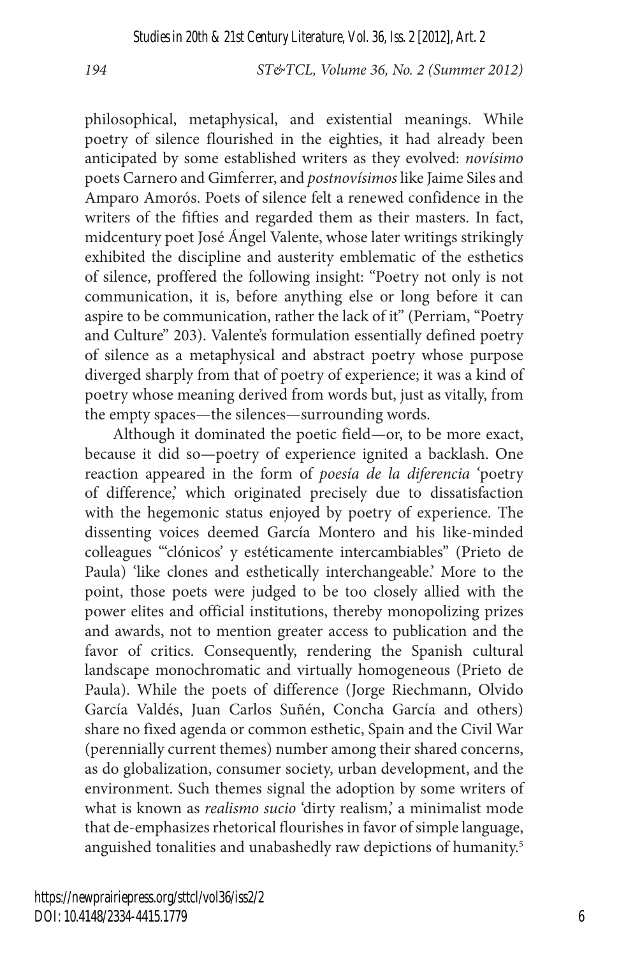philosophical, metaphysical, and existential meanings. While poetry of silence flourished in the eighties, it had already been anticipated by some established writers as they evolved: *novísimo*  poets Carnero and Gimferrer, and *postnovísimos* like Jaime Siles and Amparo Amorós. Poets of silence felt a renewed confidence in the writers of the fifties and regarded them as their masters. In fact, midcentury poet José Ángel Valente, whose later writings strikingly exhibited the discipline and austerity emblematic of the esthetics of silence, proffered the following insight: "Poetry not only is not communication, it is, before anything else or long before it can aspire to be communication, rather the lack of it" (Perriam, "Poetry and Culture" 203). Valente's formulation essentially defined poetry of silence as a metaphysical and abstract poetry whose purpose diverged sharply from that of poetry of experience; it was a kind of poetry whose meaning derived from words but, just as vitally, from the empty spaces—the silences—surrounding words.

Although it dominated the poetic field—or, to be more exact, because it did so—poetry of experience ignited a backlash. One reaction appeared in the form of *poesía de la diferencia* 'poetry of difference,' which originated precisely due to dissatisfaction with the hegemonic status enjoyed by poetry of experience. The dissenting voices deemed García Montero and his like-minded colleagues "'clónicos' y estéticamente intercambiables" (Prieto de Paula) 'like clones and esthetically interchangeable.' More to the point, those poets were judged to be too closely allied with the power elites and official institutions, thereby monopolizing prizes and awards, not to mention greater access to publication and the favor of critics. Consequently, rendering the Spanish cultural landscape monochromatic and virtually homogeneous (Prieto de Paula). While the poets of difference (Jorge Riechmann, Olvido García Valdés, Juan Carlos Suñén, Concha García and others) share no fixed agenda or common esthetic, Spain and the Civil War (perennially current themes) number among their shared concerns, as do globalization, consumer society, urban development, and the environment. Such themes signal the adoption by some writers of what is known as *realismo sucio* 'dirty realism,' a minimalist mode that de-emphasizes rhetorical flourishes in favor of simple language, anguished tonalities and unabashedly raw depictions of humanity.5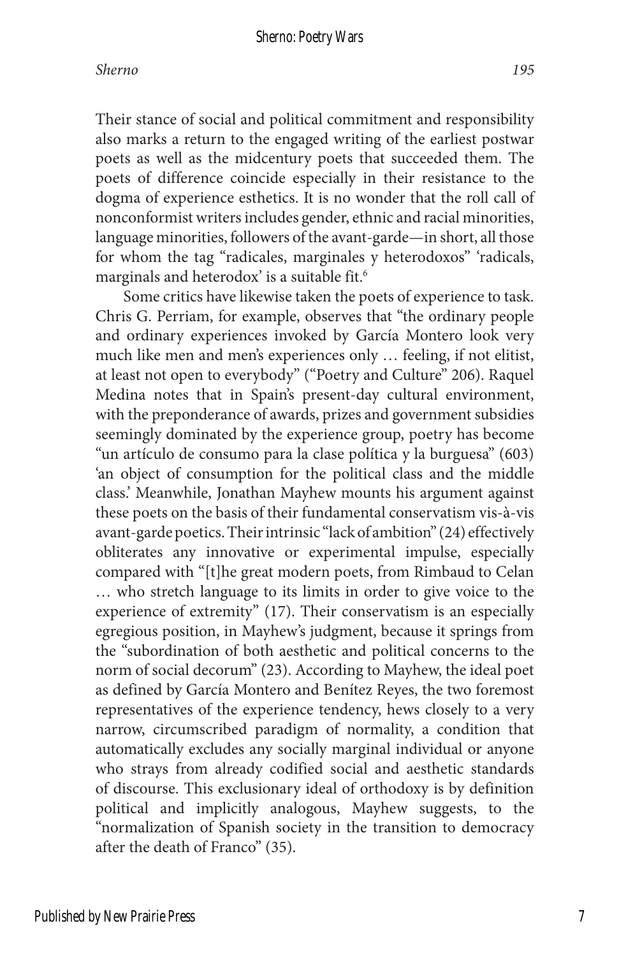#### Sherno: Poetry Wars

Their stance of social and political commitment and responsibility also marks a return to the engaged writing of the earliest postwar poets as well as the midcentury poets that succeeded them. The poets of difference coincide especially in their resistance to the dogma of experience esthetics. It is no wonder that the roll call of nonconformist writers includes gender, ethnic and racial minorities, language minorities, followers of the avant-garde—in short, all those for whom the tag "radicales, marginales y heterodoxos" 'radicals, marginals and heterodox' is a suitable fit.<sup>6</sup>

Some critics have likewise taken the poets of experience to task. Chris G. Perriam, for example, observes that "the ordinary people and ordinary experiences invoked by García Montero look very much like men and men's experiences only … feeling, if not elitist, at least not open to everybody" ("Poetry and Culture" 206). Raquel Medina notes that in Spain's present-day cultural environment, with the preponderance of awards, prizes and government subsidies seemingly dominated by the experience group, poetry has become "un artículo de consumo para la clase política y la burguesa" (603) 'an object of consumption for the political class and the middle class.' Meanwhile, Jonathan Mayhew mounts his argument against these poets on the basis of their fundamental conservatism vis-à-vis avant-garde poetics. Their intrinsic "lack of ambition" (24) effectively obliterates any innovative or experimental impulse, especially compared with "[t]he great modern poets, from Rimbaud to Celan … who stretch language to its limits in order to give voice to the experience of extremity" (17). Their conservatism is an especially egregious position, in Mayhew's judgment, because it springs from the "subordination of both aesthetic and political concerns to the norm of social decorum" (23). According to Mayhew, the ideal poet as defined by García Montero and Benítez Reyes, the two foremost representatives of the experience tendency, hews closely to a very narrow, circumscribed paradigm of normality, a condition that automatically excludes any socially marginal individual or anyone who strays from already codified social and aesthetic standards of discourse. This exclusionary ideal of orthodoxy is by definition political and implicitly analogous, Mayhew suggests, to the "normalization of Spanish society in the transition to democracy after the death of Franco" (35).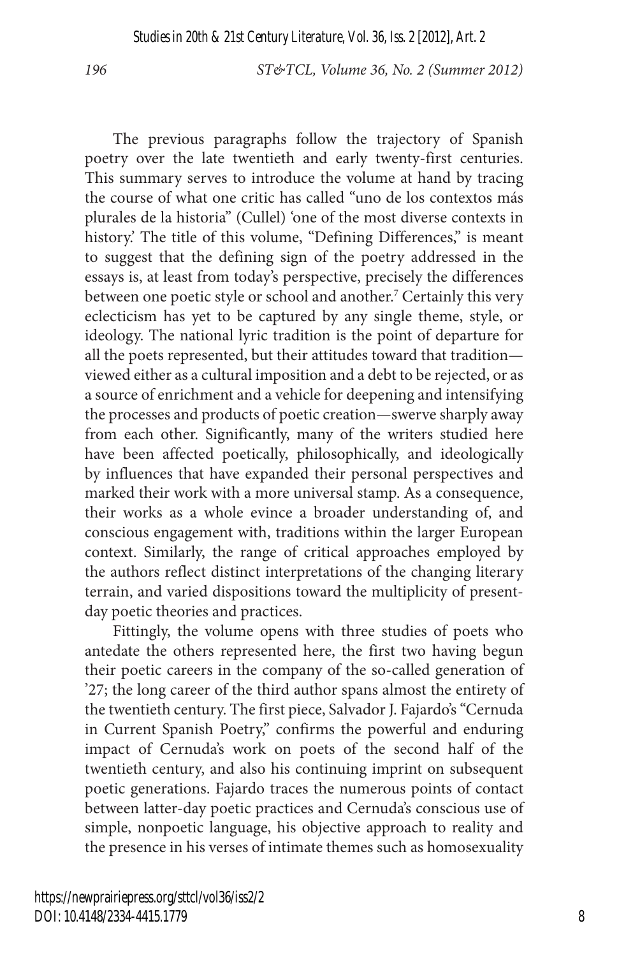The previous paragraphs follow the trajectory of Spanish poetry over the late twentieth and early twenty-first centuries. This summary serves to introduce the volume at hand by tracing the course of what one critic has called "uno de los contextos más plurales de la historia" (Cullel) 'one of the most diverse contexts in history.' The title of this volume, "Defining Differences," is meant to suggest that the defining sign of the poetry addressed in the essays is, at least from today's perspective, precisely the differences between one poetic style or school and another.<sup>7</sup> Certainly this very eclecticism has yet to be captured by any single theme, style, or ideology. The national lyric tradition is the point of departure for all the poets represented, but their attitudes toward that tradition viewed either as a cultural imposition and a debt to be rejected, or as a source of enrichment and a vehicle for deepening and intensifying the processes and products of poetic creation—swerve sharply away from each other. Significantly, many of the writers studied here have been affected poetically, philosophically, and ideologically by influences that have expanded their personal perspectives and marked their work with a more universal stamp. As a consequence, their works as a whole evince a broader understanding of, and conscious engagement with, traditions within the larger European context. Similarly, the range of critical approaches employed by the authors reflect distinct interpretations of the changing literary terrain, and varied dispositions toward the multiplicity of presentday poetic theories and practices.

Fittingly, the volume opens with three studies of poets who antedate the others represented here, the first two having begun their poetic careers in the company of the so-called generation of '27; the long career of the third author spans almost the entirety of the twentieth century. The first piece, Salvador J. Fajardo's "Cernuda in Current Spanish Poetry," confirms the powerful and enduring impact of Cernuda's work on poets of the second half of the twentieth century, and also his continuing imprint on subsequent poetic generations. Fajardo traces the numerous points of contact between latter-day poetic practices and Cernuda's conscious use of simple, nonpoetic language, his objective approach to reality and the presence in his verses of intimate themes such as homosexuality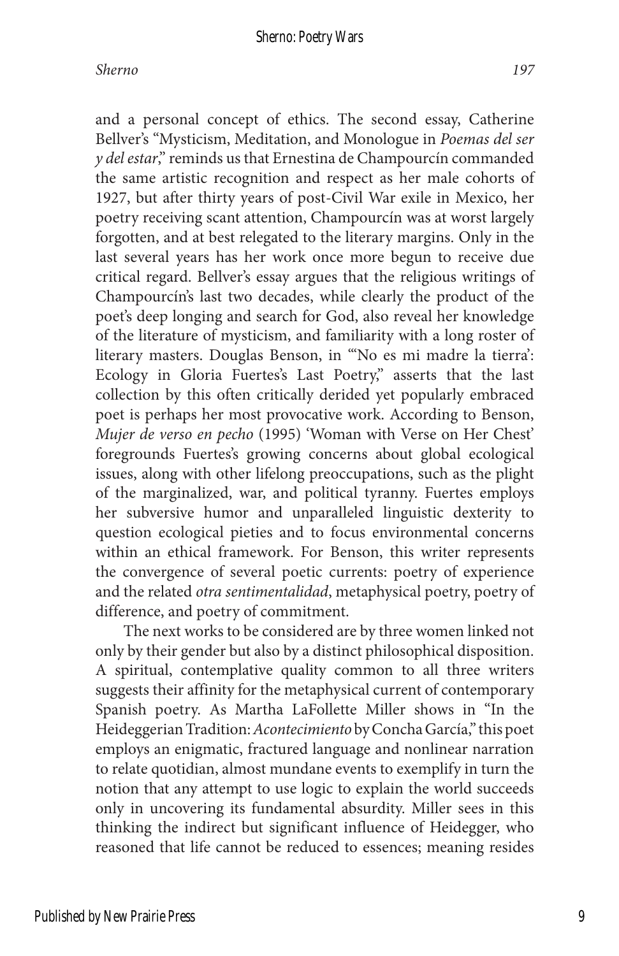and a personal concept of ethics. The second essay, Catherine Bellver's "Mysticism, Meditation, and Monologue in *Poemas del ser y del estar*," reminds us that Ernestina de Champourcín commanded the same artistic recognition and respect as her male cohorts of 1927, but after thirty years of post-Civil War exile in Mexico, her poetry receiving scant attention, Champourcín was at worst largely forgotten, and at best relegated to the literary margins. Only in the last several years has her work once more begun to receive due critical regard. Bellver's essay argues that the religious writings of Champourcín's last two decades, while clearly the product of the poet's deep longing and search for God, also reveal her knowledge of the literature of mysticism, and familiarity with a long roster of literary masters. Douglas Benson, in "'No es mi madre la tierra': Ecology in Gloria Fuertes's Last Poetry," asserts that the last collection by this often critically derided yet popularly embraced poet is perhaps her most provocative work. According to Benson, *Mujer de verso en pecho* (1995) 'Woman with Verse on Her Chest' foregrounds Fuertes's growing concerns about global ecological issues, along with other lifelong preoccupations, such as the plight of the marginalized, war, and political tyranny. Fuertes employs her subversive humor and unparalleled linguistic dexterity to question ecological pieties and to focus environmental concerns within an ethical framework. For Benson, this writer represents the convergence of several poetic currents: poetry of experience and the related *otra sentimentalidad*, metaphysical poetry, poetry of difference, and poetry of commitment.

The next works to be considered are by three women linked not only by their gender but also by a distinct philosophical disposition. A spiritual, contemplative quality common to all three writers suggests their affinity for the metaphysical current of contemporary Spanish poetry. As Martha LaFollette Miller shows in "In the Heideggerian Tradition: *Acontecimiento* by Concha García," this poet employs an enigmatic, fractured language and nonlinear narration to relate quotidian, almost mundane events to exemplify in turn the notion that any attempt to use logic to explain the world succeeds only in uncovering its fundamental absurdity. Miller sees in this thinking the indirect but significant influence of Heidegger, who reasoned that life cannot be reduced to essences; meaning resides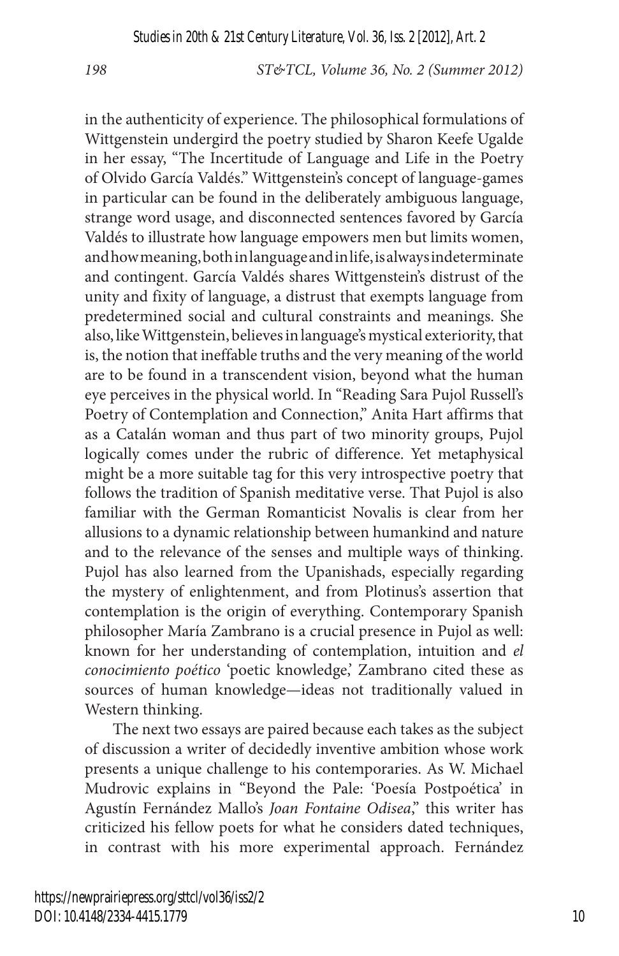in the authenticity of experience. The philosophical formulations of Wittgenstein undergird the poetry studied by Sharon Keefe Ugalde in her essay, "The Incertitude of Language and Life in the Poetry of Olvido García Valdés." Wittgenstein's concept of language-games in particular can be found in the deliberately ambiguous language, strange word usage, and disconnected sentences favored by García Valdés to illustrate how language empowers men but limits women, and how meaning, both in language and in life, is always indeterminate and contingent. García Valdés shares Wittgenstein's distrust of the unity and fixity of language, a distrust that exempts language from predetermined social and cultural constraints and meanings. She also, like Wittgenstein, believes in language's mystical exteriority, that is, the notion that ineffable truths and the very meaning of the world are to be found in a transcendent vision, beyond what the human eye perceives in the physical world. In "Reading Sara Pujol Russell's Poetry of Contemplation and Connection," Anita Hart affirms that as a Catalán woman and thus part of two minority groups, Pujol logically comes under the rubric of difference. Yet metaphysical might be a more suitable tag for this very introspective poetry that follows the tradition of Spanish meditative verse. That Pujol is also familiar with the German Romanticist Novalis is clear from her allusions to a dynamic relationship between humankind and nature and to the relevance of the senses and multiple ways of thinking. Pujol has also learned from the Upanishads, especially regarding the mystery of enlightenment, and from Plotinus's assertion that contemplation is the origin of everything. Contemporary Spanish philosopher María Zambrano is a crucial presence in Pujol as well: known for her understanding of contemplation, intuition and *el conocimiento poético* 'poetic knowledge,' Zambrano cited these as sources of human knowledge—ideas not traditionally valued in Western thinking.

The next two essays are paired because each takes as the subject of discussion a writer of decidedly inventive ambition whose work presents a unique challenge to his contemporaries. As W. Michael Mudrovic explains in "Beyond the Pale: 'Poesía Postpoética' in Agustín Fernández Mallo's *Joan Fontaine Odisea*," this writer has criticized his fellow poets for what he considers dated techniques, in contrast with his more experimental approach. Fernández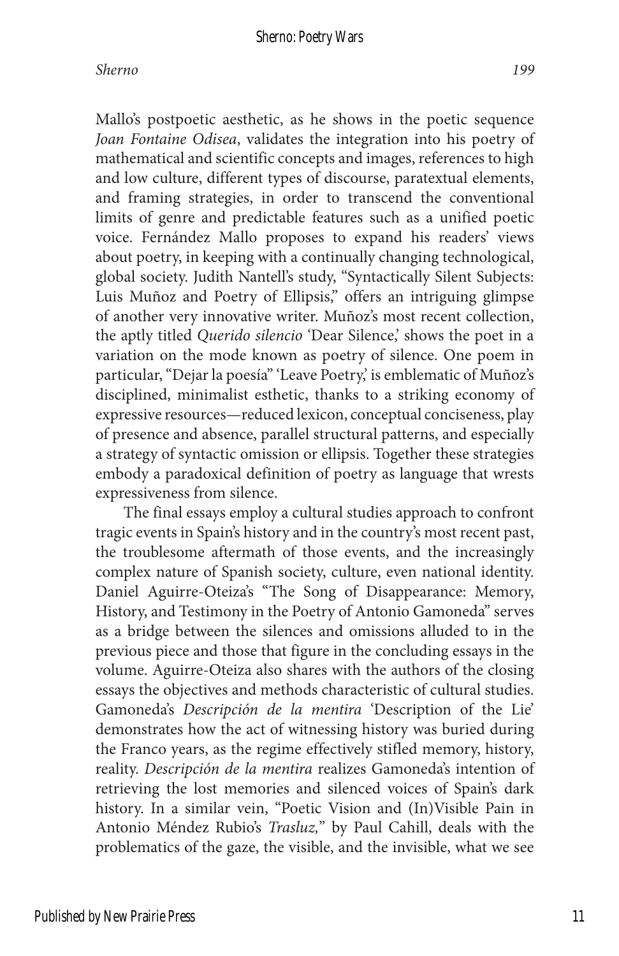#### *Sherno 199*

Mallo's postpoetic aesthetic, as he shows in the poetic sequence *Joan Fontaine Odisea*, validates the integration into his poetry of mathematical and scientific concepts and images, references to high and low culture, different types of discourse, paratextual elements, and framing strategies, in order to transcend the conventional limits of genre and predictable features such as a unified poetic voice. Fernández Mallo proposes to expand his readers' views about poetry, in keeping with a continually changing technological, global society. Judith Nantell's study, "Syntactically Silent Subjects: Luis Muñoz and Poetry of Ellipsis," offers an intriguing glimpse of another very innovative writer. Muñoz's most recent collection, the aptly titled *Querido silencio* 'Dear Silence,' shows the poet in a variation on the mode known as poetry of silence. One poem in particular, "Dejar la poesía" 'Leave Poetry,' is emblematic of Muñoz's disciplined, minimalist esthetic, thanks to a striking economy of expressive resources—reduced lexicon, conceptual conciseness, play of presence and absence, parallel structural patterns, and especially a strategy of syntactic omission or ellipsis. Together these strategies embody a paradoxical definition of poetry as language that wrests expressiveness from silence.

The final essays employ a cultural studies approach to confront tragic events in Spain's history and in the country's most recent past, the troublesome aftermath of those events, and the increasingly complex nature of Spanish society, culture, even national identity. Daniel Aguirre-Oteiza's "The Song of Disappearance: Memory, History, and Testimony in the Poetry of Antonio Gamoneda" serves as a bridge between the silences and omissions alluded to in the previous piece and those that figure in the concluding essays in the volume. Aguirre-Oteiza also shares with the authors of the closing essays the objectives and methods characteristic of cultural studies. Gamoneda's *Descripción de la mentira* 'Description of the Lie' demonstrates how the act of witnessing history was buried during the Franco years, as the regime effectively stifled memory, history, reality. *Descripción de la mentira* realizes Gamoneda's intention of retrieving the lost memories and silenced voices of Spain's dark history. In a similar vein, "Poetic Vision and (In)Visible Pain in Antonio Méndez Rubio's *Trasluz,*" by Paul Cahill, deals with the problematics of the gaze, the visible, and the invisible, what we see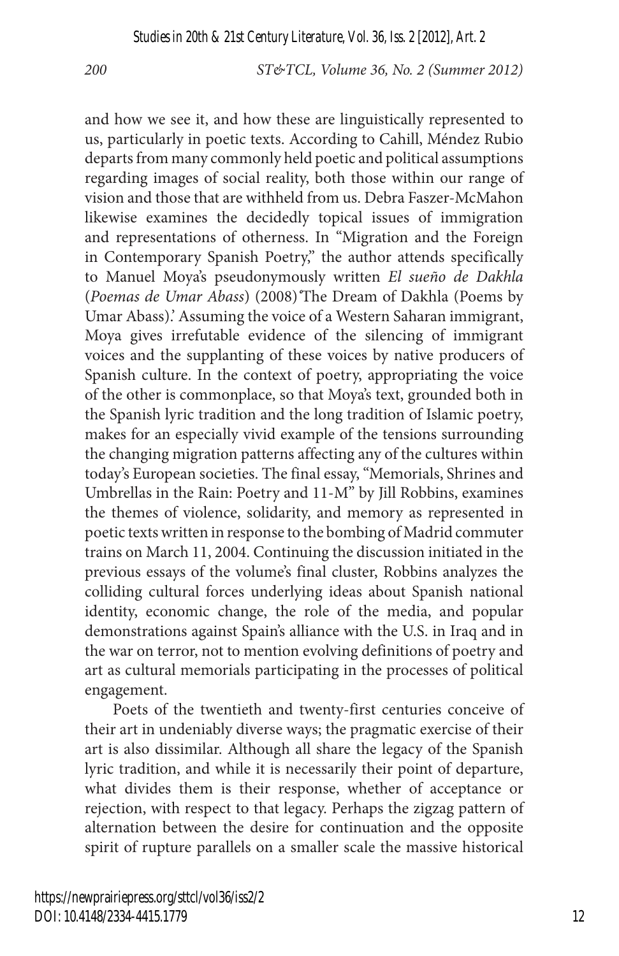and how we see it, and how these are linguistically represented to us, particularly in poetic texts. According to Cahill, Méndez Rubio departs from many commonly held poetic and political assumptions regarding images of social reality, both those within our range of vision and those that are withheld from us. Debra Faszer-McMahon likewise examines the decidedly topical issues of immigration and representations of otherness. In "Migration and the Foreign in Contemporary Spanish Poetry," the author attends specifically to Manuel Moya's pseudonymously written *El sueño de Dakhla* (*Poemas de Umar Abass*) (2008)*'*The Dream of Dakhla (Poems by Umar Abass).' Assuming the voice of a Western Saharan immigrant, Moya gives irrefutable evidence of the silencing of immigrant voices and the supplanting of these voices by native producers of Spanish culture. In the context of poetry, appropriating the voice of the other is commonplace, so that Moya's text, grounded both in the Spanish lyric tradition and the long tradition of Islamic poetry, makes for an especially vivid example of the tensions surrounding the changing migration patterns affecting any of the cultures within today's European societies. The final essay, "Memorials, Shrines and Umbrellas in the Rain: Poetry and 11-M" by Jill Robbins, examines the themes of violence, solidarity, and memory as represented in poetic texts written in response to the bombing of Madrid commuter trains on March 11, 2004. Continuing the discussion initiated in the previous essays of the volume's final cluster, Robbins analyzes the colliding cultural forces underlying ideas about Spanish national identity, economic change, the role of the media, and popular demonstrations against Spain's alliance with the U.S. in Iraq and in the war on terror, not to mention evolving definitions of poetry and art as cultural memorials participating in the processes of political engagement.

Poets of the twentieth and twenty-first centuries conceive of their art in undeniably diverse ways; the pragmatic exercise of their art is also dissimilar. Although all share the legacy of the Spanish lyric tradition, and while it is necessarily their point of departure, what divides them is their response, whether of acceptance or rejection, with respect to that legacy. Perhaps the zigzag pattern of alternation between the desire for continuation and the opposite spirit of rupture parallels on a smaller scale the massive historical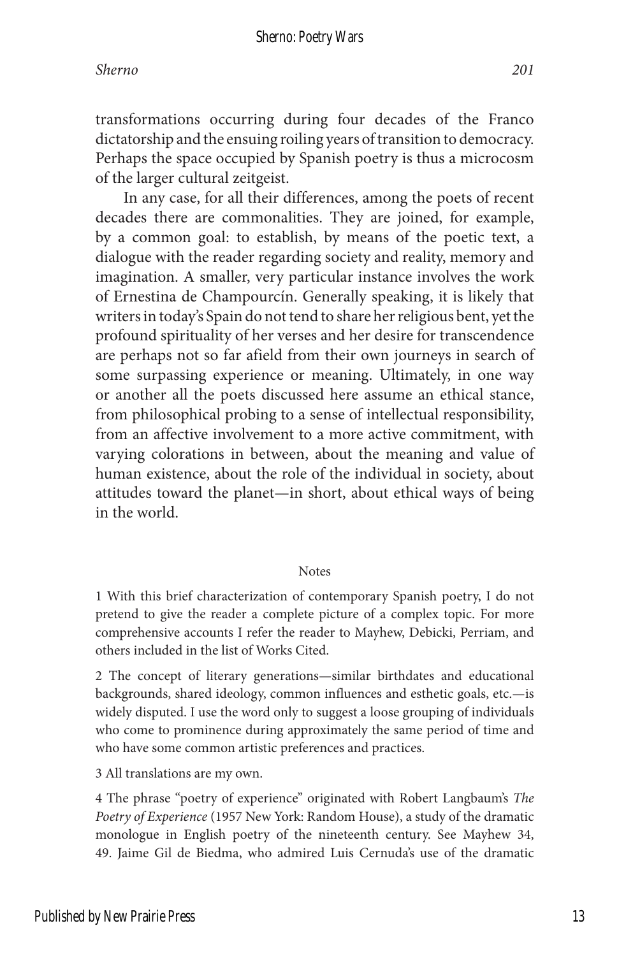transformations occurring during four decades of the Franco dictatorship and the ensuing roiling years of transition to democracy. Perhaps the space occupied by Spanish poetry is thus a microcosm of the larger cultural zeitgeist.

In any case, for all their differences, among the poets of recent decades there are commonalities. They are joined, for example, by a common goal: to establish, by means of the poetic text, a dialogue with the reader regarding society and reality, memory and imagination. A smaller, very particular instance involves the work of Ernestina de Champourcín. Generally speaking, it is likely that writers in today's Spain do not tend to share her religious bent, yet the profound spirituality of her verses and her desire for transcendence are perhaps not so far afield from their own journeys in search of some surpassing experience or meaning. Ultimately, in one way or another all the poets discussed here assume an ethical stance, from philosophical probing to a sense of intellectual responsibility, from an affective involvement to a more active commitment, with varying colorations in between, about the meaning and value of human existence, about the role of the individual in society, about attitudes toward the planet—in short, about ethical ways of being in the world.

#### **Notes**

1 With this brief characterization of contemporary Spanish poetry, I do not pretend to give the reader a complete picture of a complex topic. For more comprehensive accounts I refer the reader to Mayhew, Debicki, Perriam, and others included in the list of Works Cited.

2 The concept of literary generations—similar birthdates and educational backgrounds, shared ideology, common influences and esthetic goals, etc.—is widely disputed. I use the word only to suggest a loose grouping of individuals who come to prominence during approximately the same period of time and who have some common artistic preferences and practices.

3 All translations are my own.

4 The phrase "poetry of experience" originated with Robert Langbaum's *The Poetry of Experience* (1957 New York: Random House), a study of the dramatic monologue in English poetry of the nineteenth century. See Mayhew 34, 49. Jaime Gil de Biedma, who admired Luis Cernuda's use of the dramatic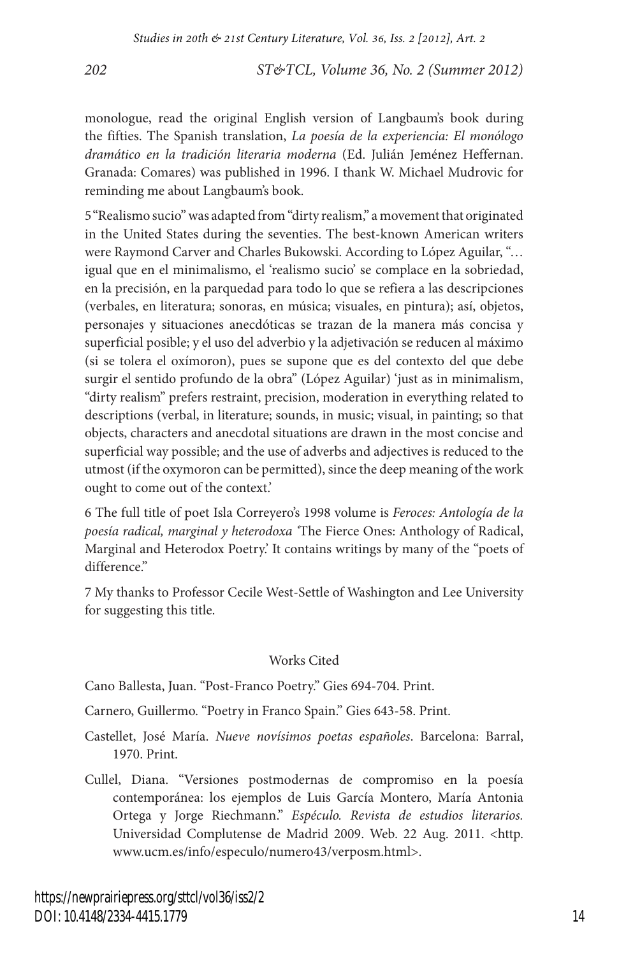monologue, read the original English version of Langbaum's book during the fifties. The Spanish translation, *La poesía de la experiencia: El monólogo dramático en la tradición literaria moderna* (Ed. Julián Jeménez Heffernan. Granada: Comares) was published in 1996. I thank W. Michael Mudrovic for reminding me about Langbaum's book.

5"Realismo sucio" was adapted from "dirty realism," a movement that originated in the United States during the seventies. The best-known American writers were Raymond Carver and Charles Bukowski. According to López Aguilar, "… igual que en el minimalismo, el 'realismo sucio' se complace en la sobriedad, en la precisión, en la parquedad para todo lo que se refiera a las descripciones (verbales, en literatura; sonoras, en música; visuales, en pintura); así, objetos, personajes y situaciones anecdóticas se trazan de la manera más concisa y superficial posible; y el uso del adverbio y la adjetivación se reducen al máximo (si se tolera el oxímoron), pues se supone que es del contexto del que debe surgir el sentido profundo de la obra" (López Aguilar) 'just as in minimalism, "dirty realism" prefers restraint, precision, moderation in everything related to descriptions (verbal, in literature; sounds, in music; visual, in painting; so that objects, characters and anecdotal situations are drawn in the most concise and superficial way possible; and the use of adverbs and adjectives is reduced to the utmost (if the oxymoron can be permitted), since the deep meaning of the work ought to come out of the context.'

6 The full title of poet Isla Correyero's 1998 volume is *Feroces: Antología de la poesía radical, marginal y heterodoxa '*The Fierce Ones: Anthology of Radical, Marginal and Heterodox Poetry.' It contains writings by many of the "poets of difference."

7 My thanks to Professor Cecile West-Settle of Washington and Lee University for suggesting this title.

#### Works Cited

Cano Ballesta, Juan. "Post-Franco Poetry." Gies 694-704. Print.

Carnero, Guillermo. "Poetry in Franco Spain." Gies 643-58. Print.

- Castellet, José María. *Nueve novísimos poetas españoles*. Barcelona: Barral, 1970. Print.
- Cullel, Diana. "Versiones postmodernas de compromiso en la poesía contemporánea: los ejemplos de Luis García Montero, María Antonia Ortega y Jorge Riechmann." *Espéculo. Revista de estudios literarios.* Universidad Complutense de Madrid 2009. Web. 22 Aug. 2011. <http. www.ucm.es/info/especulo/numero43/verposm.html>.